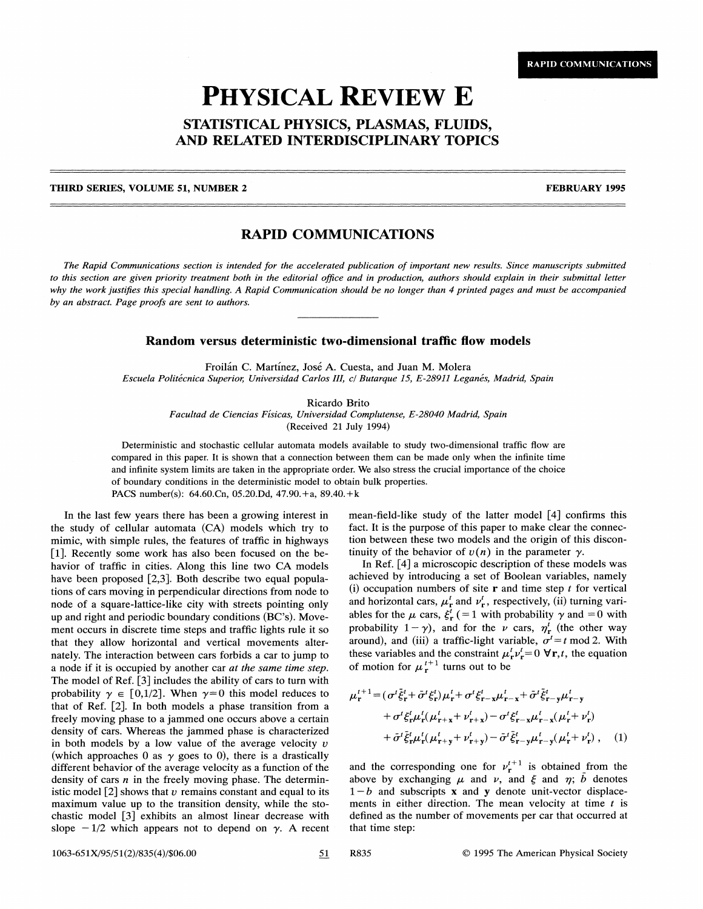## **PHYSICAL REVIEW E** STATISTICAL PHYSICS, PLASMAS, FLUIDS, AND RELATED INTERDISCIPLINARY TOPICS

## THIRD SERIES, VOLUME 51, NUMBER 2 FEBRUARY 1995

## RAPID COMMUNICATIONS

The Rapid Communications section is intended for the accelerated publication of important new results. Since manuscripts submitted to this section are given priority treatment both in the editorial office and in production, authors should explain in their submittal letter why the work justifies this special handling. A Rapid Communication should be no longer than 4 printed pages and must be accompanied by an abstract. Page proofs are sent to authors

## Random versus deterministic two-dimensional traffic flow models

Froilán C. Martínez, José A. Cuesta, and Juan M. Molera Escuela Politécnica Superior, Universidad Carlos III, c/ Butarque 15, E-28911 Leganés, Madrid, Spain

> Ricardo Brito Facultad de Ciencias Físicas, Universidad Complutense, E-28040 Madrid, Spain (Received 21 July 1994)

Deterministic and stochastic cellular automata models available to study two-dimensional traffic flow are compared in this paper. It is shown that a connection between them can be made only when the infinite time and infinite system limits are taken in the appropriate order. We also stress the crucial importance of the choice of boundary conditions in the deterministic model to obtain bulk properties.

PACS number(s): 64.60.Cn, 05.20.Dd, 47.90.+a, 89.40.+k

In the last few years there has been a growing interest in the study of cellular automata (CA) models which try to mimic, with simple rules, the features of traffic in highways [1]. Recently some work has also been focused on the behavior of traffic in cities. Along this line two CA models have been proposed [2,3]. Both describe two equal populations of cars moving in perpendicular directions from node to node of a square-lattice-like city with streets pointing only up and right and periodic boundary conditions (BC's). Movement occurs in discrete time steps and traffic lights rule it so that they allow horizontal and vertical movements alternately. The interaction between cars forbids a car to jump to a node if it is occupied by another car at the same time step. The model of Ref. [3] includes the ability of cars to turn with probability  $\gamma \in [0,1/2]$ . When  $\gamma = 0$  this model reduces to that of Ref. [2]. In both models a phase transition from a freely moving phase to a jammed one occurs above a certain density of cars. Whereas the jammed phase is characterized in both models by a low value of the average velocity  $\nu$ (which approaches 0 as  $\gamma$  goes to 0), there is a drastically different behavior of the average velocity as a function of the density of cars  $n$  in the freely moving phase. The deterministic model  $[2]$  shows that v remains constant and equal to its maximum value up to the transition density, while the stochastic model [3] exhibits an almost linear decrease with slope  $-1/2$  which appears not to depend on  $\gamma$ . A recent mean-field-like study of the latter model [4] confirms this fact. It is the purpose of this paper to make clear the connection between these two models and the origin of this discontinuity of the behavior of  $v(n)$  in the parameter  $\gamma$ .

In Ref. [4] a microscopic description of these models was achieved by introducing a set of Boolean variables, namely (i) occupation numbers of site  $\mathbf r$  and time step  $t$  for vertical and horizontal cars,  $\mu_r^t$  and  $\nu_r^t$ , respectively, (ii) turning variables for the  $\mu$  cars,  $\xi_{\mathbf{r}}^{i}$  (=1 with probability  $\gamma$  and =0 with probability  $1-\gamma$ ), and for the v cars,  $\eta_r^t$  (the other way around), and (iii) a traffic-light variable,  $\sigma^t = t \mod 2$ . With these variables and the constraint  $\mu_r^l \nu_r^l = 0$   $\forall$ r, t, the equation of motion for  $\mu_r^{t+1}$  turns out to be

$$
\mu_{\mathbf{r}}^{t+1} = (\sigma^t \bar{\xi}_{\mathbf{r}}^t + \bar{\sigma}^t \xi_{\mathbf{r}}^t) \mu_{\mathbf{r}}^t + \sigma^t \xi_{\mathbf{r} - \mathbf{x}}^t \mu_{\mathbf{r} - \mathbf{x}}^t + \bar{\sigma}^t \bar{\xi}_{\mathbf{r} - \mathbf{y}}^t \mu_{\mathbf{r} - \mathbf{y}}^t + \sigma^t \xi_{\mathbf{r}}^t \mu_{\mathbf{r}}^t (\mu_{\mathbf{r} + \mathbf{x}}^t + \nu_{\mathbf{r} + \mathbf{x}}^t) - \sigma^t \xi_{\mathbf{r} - \mathbf{x}}^t \mu_{\mathbf{r} - \mathbf{x}}^t (\mu_{\mathbf{r}}^t + \nu_{\mathbf{r}}^t) + \bar{\sigma}^t \bar{\xi}_{\mathbf{r}}^t \mu_{\mathbf{r}}^t (\mu_{\mathbf{r} + \mathbf{y}}^t + \nu_{\mathbf{r} + \mathbf{y}}^t) - \bar{\sigma}^t \bar{\xi}_{\mathbf{r} - \mathbf{y}}^t \mu_{\mathbf{r} - \mathbf{y}}^t (\mu_{\mathbf{r}}^t + \nu_{\mathbf{r}}^t) , \quad (1)
$$

and the corresponding one for  $v_r^{t+1}$  is obtained from the above by exchanging  $\mu$  and  $\nu$ , and  $\xi$  and  $\eta$ ;  $\bar{b}$  denotes  $1-b$  and subscripts x and y denote unit-vector displacements in either direction. The mean velocity at time  $t$  is defined as the number of movements per car that occurred at that time step: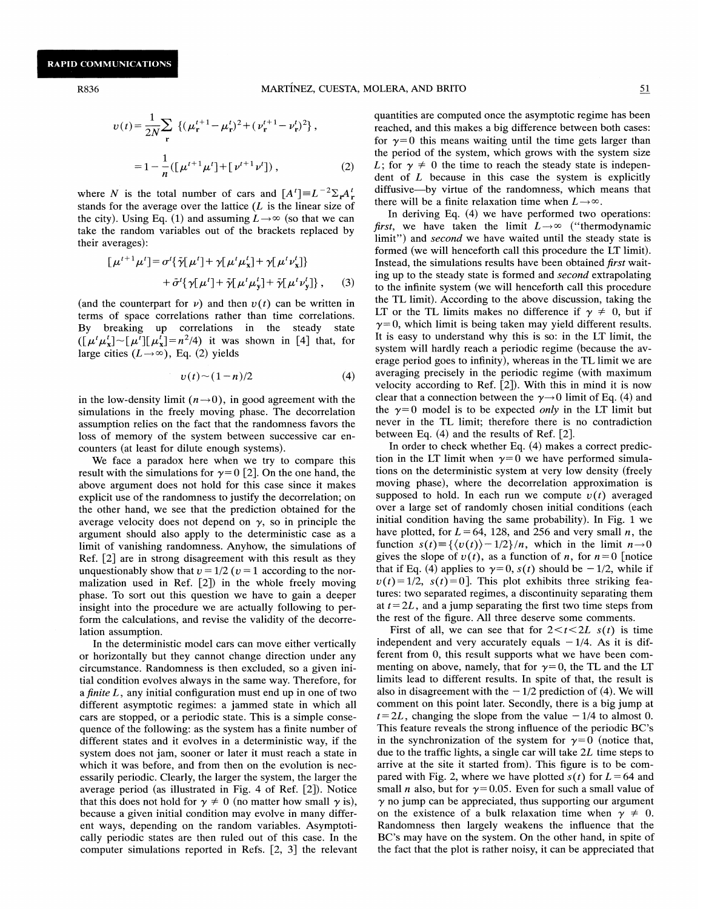$$
v(t) = \frac{1}{2N} \sum_{\mathbf{r}} \left\{ (\mu_{\mathbf{r}}^{t+1} - \mu_{\mathbf{r}}^t)^2 + (\nu_{\mathbf{r}}^{t+1} - \nu_{\mathbf{r}}^t)^2 \right\},
$$
  
=  $1 - \frac{1}{n} ([\mu^{t+1} \mu^t] + [\nu^{t+1} \nu^t])$ , (2)

where N is the total number of cars and  $[A^t] = L^{-2} \Sigma_r A_r^t$ , stands for the average over the lattice  $(L$  is the linear size of the city). Using Eq. (1) and assuming  $L \rightarrow \infty$  (so that we can take the random variables out of the brackets replaced by their averages):

$$
[\mu^{t+1}\mu^t] = \sigma^t {\bar{\gamma}}[\mu^t] + \gamma[\mu^t \mu^t_x] + \gamma[\mu^t \nu^t_x] + \bar{\sigma}^t {\gamma}[\mu^t] + \bar{\gamma}[\mu^t \mu^t_y] + \bar{\gamma}[\mu^t \nu^t_y], \quad (3)
$$

(and the counterpart for  $\nu$ ) and then  $\nu(t)$  can be written in terms of space correlations rather than time correlations. By breaking up correlations in the steady state  $([\mu^t \mu^t_{\mathbf{x}}] \sim [\mu^t][\mu^t_{\mathbf{x}}] = n^2/4)$  it was shown in [4] that, for large cities  $(L \rightarrow \infty)$ , Eq. (2) yields

$$
v(t) \sim (1-n)/2 \tag{4}
$$

in the low-density limit ( $n\rightarrow 0$ ), in good agreement with the simulations in the freely moving phase. The decorrelation assumption relies on the fact that the randomness favors the loss of memory of the system between successive car encounters (at least for dilute enough systems).

We face a paradox here when we try to compare this result with the simulations for  $\gamma = 0$  [2]. On the one hand, the above argument does not hold for this case since it makes explicit use of the randomness to justify the decorrelation; on the other hand, we see that the prediction obtained for the average velocity does not depend on  $\gamma$ , so in principle the argument should also apply to the deterministic case as a limit of vanishing randomness. Anyhow, the simulations of Ref. [2] are in strong disagreement with this result as they unquestionably show that  $v = 1/2$  ( $v = 1$  according to the normalization used in Ref.  $[2]$  in the whole freely moving phase. To sort out this question we have to gain a deeper insight into the procedure we are actually following to perform the calculations, and revise the validity of the decorrelation assumption.

In the deterministic model cars can move either vertically or horizontally but they cannot change direction under any circumstance. Randomness is then excluded, so a given initia1 condition evolves always in the same way. Therefore, for a finite  $L$ , any initial configuration must end up in one of two different asymptotic regimes: a jammed state in which all cars are stopped, or a periodic state. This is a simple consequence of the following: as the system has a finite number of different states and it evolves in a deterministic way, if the system does not jam, sooner or later it must reach a state in which it was before, and from then on the evolution is necessarily periodic. Clearly, the larger the system, the larger the average period (as illustrated in Fig. 4 of Ref. [2]). Notice that this does not hold for  $\gamma \neq 0$  (no matter how small  $\gamma$  is), because a given initial condition may evolve in many different ways, depending on the random variables. Asymptotically periodic states are then ruled out of this case. In the computer simulations reported in Refs. [2, 3] the relevant

quantities are computed once the asymptotic regime has been reached, and this makes a big difference between both cases: for  $y=0$  this means waiting until the time gets larger than the period of the system, which grows with the system size L; for  $\gamma \neq 0$  the time to reach the steady state is independent of  $L$  because in this case the system is explicitly diffusive —by virtue of the randomness, which means that there will be a finite relaxation time when  $L \rightarrow \infty$ .

In deriving Eq. (4) we have performed two operations: first, we have taken the limit  $L \rightarrow \infty$  ("thermodynamic limit") and second we have waited until the steady state is formed (we will henceforth call this procedure the LT limit). Instead, the simulations results have been obtained first waiting up to the steady state is formed and second extrapolating to the infinite system (we will henceforth call this procedure the TL limit). According to the above discussion, taking the LT or the TL limits makes no difference if  $\gamma \neq 0$ , but if  $y=0$ , which limit is being taken may yield different results. It is easy to understand why this is so: in the LT limit, the system will hardly reach a periodic regime (because the average period goes to infinity), whereas in the TL limit we are averaging precisely in the periodic regime (with maximum velocity according to Ref.  $[2]$ . With this in mind it is now clear that a connection between the  $\gamma \rightarrow 0$  limit of Eq. (4) and the  $\gamma=0$  model is to be expected *only* in the LT limit but never in the TL limit; therefore there is no contradiction between Eq. (4) and the results of Ref. [2].

In order to check whether Eq. (4) makes a correct prediction in the LT limit when  $\gamma=0$  we have performed simulations on the deterministic system at very low density (freely moving phase), where the decorrelation approximation is supposed to hold. In each run we compute  $v(t)$  averaged over a large set of randomly chosen initial conditions (each initial condition having the same probability). In Fig. 1 we have plotted, for  $L = 64$ , 128, and 256 and very small *n*, the function  $s(t) = \frac{\langle v(t) \rangle - 1}{2}$ , which in the limit  $n \rightarrow 0$ gives the slope of  $v(t)$ , as a function of n, for  $n = 0$  [notice that if Eq. (4) applies to  $\gamma=0$ ,  $s(t)$  should be  $-1/2$ , while if  $v(t) = 1/2$ ,  $s(t) = 0$ ]. This plot exhibits three striking features: two separated regimes, a discontinuity separating them at  $t = 2L$ , and a jump separating the first two time steps from the rest of the figure. All three deserve some comments.

First of all, we can see that for  $2 < t < 2L$  s(t) is time independent and very accurately equals  $-1/4$ . As it is different from 0, this result supports what we have been commenting on above, namely, that for  $\gamma=0$ , the TL and the LT limits lead to different results. In spite of that, the result is also in disagreement with the  $-1/2$  prediction of (4). We will comment on this point later. Secondly, there is a big jump at  $t = 2L$ , changing the slope from the value  $-1/4$  to almost 0. This feature reveals the strong influence of the periodic BC's in the synchronization of the system for  $\gamma=0$  (notice that, due to the traffic lights, a single car will take  $2L$  time steps to arrive at the site it started from). This figure is to be compared with Fig. 2, where we have plotted  $s(t)$  for  $L = 64$  and small *n* also, but for  $\gamma = 0.05$ . Even for such a small value of  $\gamma$  no jump can be appreciated, thus supporting our argument on the existence of a bulk relaxation time when  $\gamma \neq 0$ . Randomness then largely weakens the inhuence that the BC's may have on the system. On the other hand, in spite of the fact that the plot is rather noisy, it can be appreciated that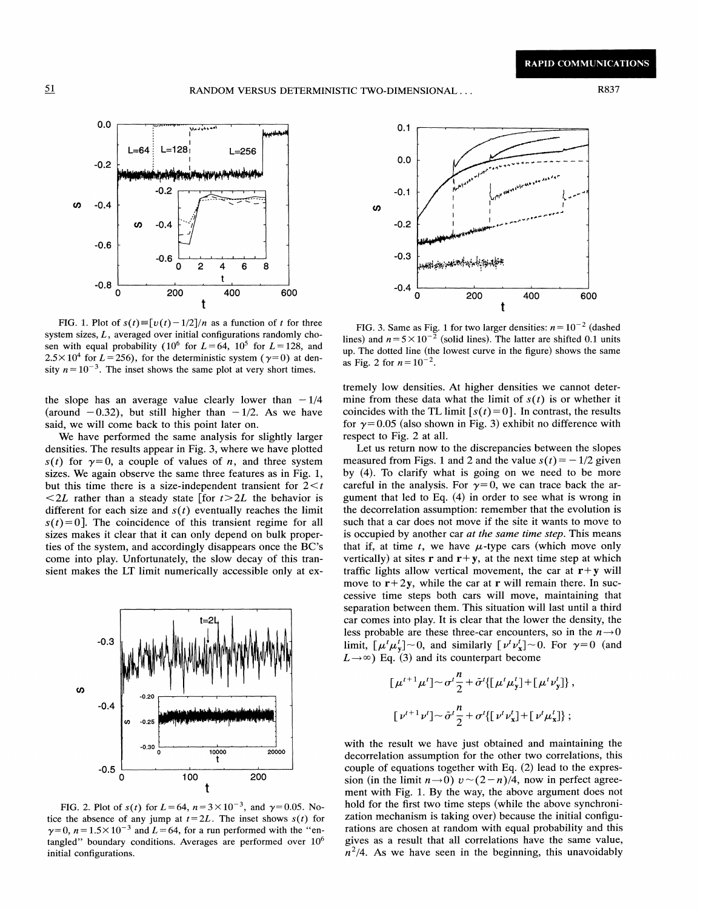

FIG. 1. Plot of  $s(t) = [v(t) - 1/2]/n$  as a function of t for three system sizes,  $L$ , averaged over initial configurations randomly chosen with equal probability (10<sup>6</sup> for  $L = 64$ , 10<sup>5</sup> for  $L = 128$ , and  $2.5 \times 10^4$  for  $L = 256$ , for the deterministic system ( $\gamma = 0$ ) at density  $n = 10^{-3}$ . The inset shows the same plot at very short times.

the slope has an average value clearly lower than  $-1/4$ (around  $-0.32$ ), but still higher than  $-1/2$ . As we have said, we will come back to this point later on.

We have performed the same analysis for slightly larger densities. The results appear in Fig. 3, where we have plotted  $s(t)$  for  $\gamma=0$ , a couple of values of *n*, and three system sizes. We again observe the same three features as in Fig. 1, but this time there is a size-independent transient for  $2 < t$  $\leq$  2L rather than a steady state [for  $t > 2L$  the behavior is different for each size and  $s(t)$  eventually reaches the limit  $s(t)=0$ ]. The coincidence of this transient regime for all sizes makes it clear that it can only depend on bulk properties of the system, and accordingly disappears once the BC's come into play. Unfortunately, the slow decay of this transient makes the LT limit numerically accessible only at ex-



FIG. 2. Plot of  $s(t)$  for  $L = 64$ ,  $n = 3 \times 10^{-3}$ , and  $\gamma = 0.05$ . Notice the absence of any jump at  $t=2L$ . The inset shows  $s(t)$  for  $\gamma=0$ ,  $n = 1.5 \times 10^{-3}$  and  $L = 64$ , for a run performed with the "entangled" boundary conditions. Averages are performed over  $10^6$ initial configurations.



FIG. 3. Same as Fig. 1 for two larger densities:  $n = 10^{-2}$  (dashed lines) and  $n=5\times10^{-\frac{5}{2}}$  (solid lines). The latter are shifted 0.1 units up. The dotted line (the lowest curve in the figure) shows the same as Fig. 2 for  $n = 10^{-2}$ .

tremely low densities. At higher densities we cannot determine from these data what the limit of  $s(t)$  is or whether it coincides with the TL limit  $[s(t)=0]$ . In contrast, the results for  $\gamma$ = 0.05 (also shown in Fig. 3) exhibit no difference with respect to Fig. 2 at all.

Let us return now to the discrepancies between the slopes measured from Figs. 1 and 2 and the value  $s(t) = -1/2$  given by (4). To clarify what is going on we need to be more careful in the analysis. For  $y=0$ , we can trace back the argument that led to Eq. (4) in order to see what is wrong in the decorrelation assumption: remember that the evolution is such that a car does not move if the site it wants to move to is occupied by another car *at the same time step*. This means that if, at time t, we have  $\mu$ -type cars (which move only vertically) at sites  $\bf{r}$  and  $\bf{r} + \bf{y}$ , at the next time step at which traffic lights allow vertical movement, the car at  $r+y$  will move to  $r+2y$ , while the car at r will remain there. In successive time steps both cars will move, maintaining that separation between them. This situation will last until a third car comes into play. It is clear that the lower the density, the less probable are these three-car encounters, so in the  $n \rightarrow 0$ limit,  $[\mu^t \mu^t_{\mathbf{v}}]$  ~ 0, and similarly  $[\nu^t \nu^t_{\mathbf{x}}]$  ~ 0. For  $\gamma=0$  (and  $L \rightarrow \infty$ ) Eq. (3) and its counterpart become

$$
\begin{aligned} \left[ \mu^{t+1} \mu^t \right] &\sim \sigma^t \frac{n}{2} + \bar{\sigma}^t \{ \left[ \mu^t \mu_y^t \right] + \left[ \mu^t \nu_y^t \right] \}, \\ \left[ \nu^{t+1} \nu^t \right] &\sim \bar{\sigma}^t \frac{n}{2} + \sigma^t \{ \left[ \nu^t \nu_x^t \right] + \left[ \nu^t \mu_x^t \right] \}, \end{aligned}
$$

with the result we have just obtained and maintaining the decorrelation assumption for the other two correlations, this couple of equations together with Eq. (2) lead to the expression (in the limit  $n\rightarrow 0$ )  $v \sim (2-n)/4$ , now in perfect agreement with Fig. 1. By the way, the above argument does not hold for the first two time steps (while the above synchronization mechanism is taking over) because the initial configurations are chosen at random with equal probability and this gives as a result that all correlations have the same value,  $n^2/4$ . As we have seen in the beginning, this unavoidably